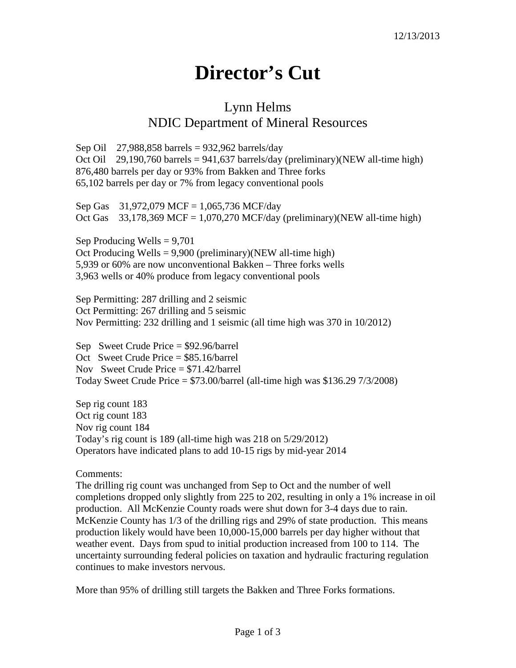## **Director's Cut**

## Lynn Helms NDIC Department of Mineral Resources

Sep Oil 27,988,858 barrels = 932,962 barrels/day Oct Oil 29,190,760 barrels = 941,637 barrels/day (preliminary)(NEW all-time high) 876,480 barrels per day or 93% from Bakken and Three forks 65,102 barrels per day or 7% from legacy conventional pools

Sep Gas 31,972,079 MCF = 1,065,736 MCF/day Oct Gas  $33,178,369$  MCF = 1,070,270 MCF/day (preliminary)(NEW all-time high)

Sep Producing Wells  $= 9,701$ Oct Producing Wells = 9,900 (preliminary)(NEW all-time high) 5,939 or 60% are now unconventional Bakken – Three forks wells 3,963 wells or 40% produce from legacy conventional pools

Sep Permitting: 287 drilling and 2 seismic Oct Permitting: 267 drilling and 5 seismic Nov Permitting: 232 drilling and 1 seismic (all time high was 370 in 10/2012)

Sep Sweet Crude Price = \$92.96/barrel Oct Sweet Crude Price = \$85.16/barrel Nov Sweet Crude Price  $= $71.42$ /barrel Today Sweet Crude Price  $= $73.00/b$ arrel (all-time high was \$136.29 7/3/2008)

Sep rig count 183 Oct rig count 183 Nov rig count 184 Today's rig count is 189 (all-time high was 218 on 5/29/2012) Operators have indicated plans to add 10-15 rigs by mid-year 2014

## Comments:

The drilling rig count was unchanged from Sep to Oct and the number of well completions dropped only slightly from 225 to 202, resulting in only a 1% increase in oil production. All McKenzie County roads were shut down for 3-4 days due to rain. McKenzie County has 1/3 of the drilling rigs and 29% of state production. This means production likely would have been 10,000-15,000 barrels per day higher without that weather event. Days from spud to initial production increased from 100 to 114. The uncertainty surrounding federal policies on taxation and hydraulic fracturing regulation continues to make investors nervous.

More than 95% of drilling still targets the Bakken and Three Forks formations.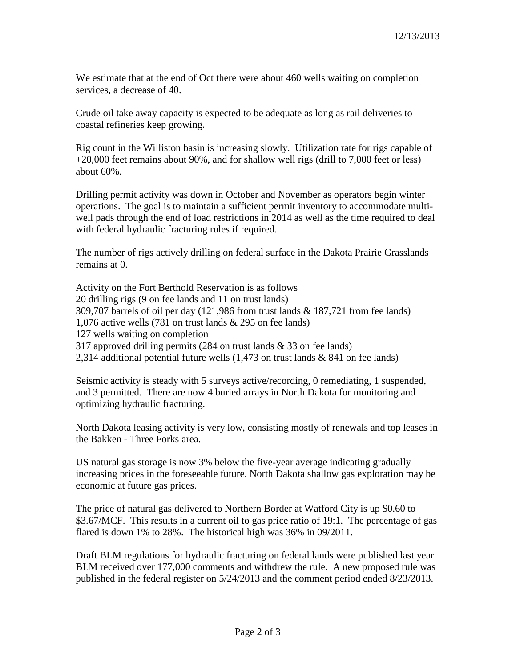We estimate that at the end of Oct there were about 460 wells waiting on completion services, a decrease of 40.

Crude oil take away capacity is expected to be adequate as long as rail deliveries to coastal refineries keep growing.

Rig count in the Williston basin is increasing slowly. Utilization rate for rigs capable of +20,000 feet remains about 90%, and for shallow well rigs (drill to 7,000 feet or less) about 60%.

Drilling permit activity was down in October and November as operators begin winter operations. The goal is to maintain a sufficient permit inventory to accommodate multiwell pads through the end of load restrictions in 2014 as well as the time required to deal with federal hydraulic fracturing rules if required.

The number of rigs actively drilling on federal surface in the Dakota Prairie Grasslands remains at 0.

Activity on the Fort Berthold Reservation is as follows 20 drilling rigs (9 on fee lands and 11 on trust lands) 309,707 barrels of oil per day (121,986 from trust lands & 187,721 from fee lands) 1,076 active wells (781 on trust lands & 295 on fee lands) 127 wells waiting on completion 317 approved drilling permits (284 on trust lands & 33 on fee lands) 2,314 additional potential future wells (1,473 on trust lands & 841 on fee lands)

Seismic activity is steady with 5 surveys active/recording, 0 remediating, 1 suspended, and 3 permitted. There are now 4 buried arrays in North Dakota for monitoring and optimizing hydraulic fracturing.

North Dakota leasing activity is very low, consisting mostly of renewals and top leases in the Bakken - Three Forks area.

US natural gas storage is now 3% below the five-year average indicating gradually increasing prices in the foreseeable future. North Dakota shallow gas exploration may be economic at future gas prices.

The price of natural gas delivered to Northern Border at Watford City is up \$0.60 to \$3.67/MCF. This results in a current oil to gas price ratio of 19:1. The percentage of gas flared is down 1% to 28%. The historical high was 36% in 09/2011.

Draft BLM regulations for hydraulic fracturing on federal lands were published last year. BLM received over 177,000 comments and withdrew the rule. A new proposed rule was published in the federal register on 5/24/2013 and the comment period ended 8/23/2013.